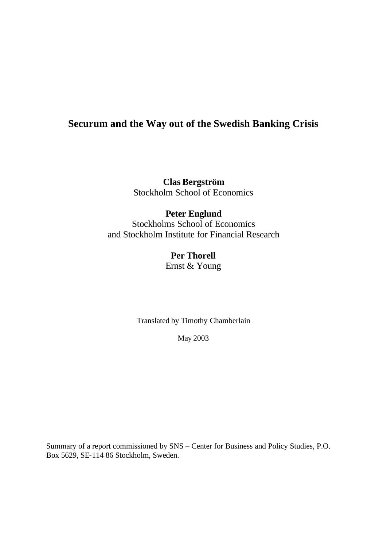# **Securum and the Way out of the Swedish Banking Crisis**

**Clas Bergström** Stockholm School of Economics

## **Peter Englund** Stockholms School of Economics and Stockholm Institute for Financial Research

# **Per Thorell**

Ernst & Young

Translated by Timothy Chamberlain

May 2003

Summary of a report commissioned by SNS – Center for Business and Policy Studies, P.O. Box 5629, SE-114 86 Stockholm, Sweden.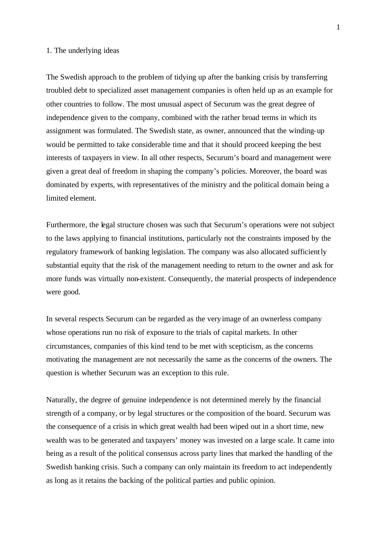#### 1. The underlying ideas

The Swedish approach to the problem of tidying up after the banking crisis by transferring troubled debt to specialized asset management companies is often held up as an example for other countries to follow. The most unusual aspect of Securum was the great degree of independence given to the company, combined with the rather broad terms in which its assignment was formulated. The Swedish state, as owner, announced that the winding-up would be permitted to take considerable time and that it should proceed keeping the best interests of taxpayers in view. In all other respects, Securum's board and management were given a great deal of freedom in shaping the company's policies. Moreover, the board was dominated by experts, with representatives of the ministry and the political domain being a limited element.

Furthermore, the legal structure chosen was such that Securum's operations were not subject to the laws applying to financial institutions, particularly not the constraints imposed by the regulatory framework of banking legislation. The company was also allocated sufficiently substantial equity that the risk of the management needing to return to the owner and ask for more funds was virtually non-existent. Consequently, the material prospects of independence were good.

In several respects Securum can be regarded as the very image of an ownerless company whose operations run no risk of exposure to the trials of capital markets. In other circumstances, companies of this kind tend to be met with scepticism, as the concerns motivating the management are not necessarily the same as the concerns of the owners. The question is whether Securum was an exception to this rule.

Naturally, the degree of genuine independence is not determined merely by the financial strength of a company, or by legal structures or the composition of the board. Securum was the consequence of a crisis in which great wealth had been wiped out in a short time, new wealth was to be generated and taxpayers' money was invested on a large scale. It came into being as a result of the political consensus across party lines that marked the handling of the Swedish banking crisis. Such a company can only maintain its freedom to act independently as long as it retains the backing of the political parties and public opinion.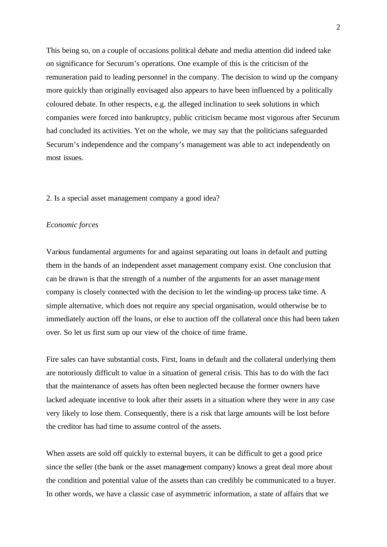This being so, on a couple of occasions political debate and media attention did indeed take on significance for Securum's operations. One example of this is the criticism of the remuneration paid to leading personnel in the company. The decision to wind up the company more quickly than originally envisaged also appears to have been influenced by a politically coloured debate. In other respects, e.g. the alleged inclination to seek solutions in which companies were forced into bankruptcy, public criticism became most vigorous after Securum had concluded its activities. Yet on the whole, we may say that the politicians safeguarded Securum's independence and the company's management was able to act independently on most issues.

## 2. Is a special asset management company a good idea?

#### *Economic forces*

Various fundamental arguments for and against separating out loans in default and putting them in the hands of an independent asset management company exist. One conclusion that can be drawn is that the strength of a number of the arguments for an asset management company is closely connected with the decision to let the winding-up process take time. A simple alternative, which does not require any special organisation, would otherwise be to immediately auction off the loans, or else to auction off the collateral once this had been taken over. So let us first sum up our view of the choice of time frame.

Fire sales can have substantial costs. First, loans in default and the collateral underlying them are notoriously difficult to value in a situation of general crisis. This has to do with the fact that the maintenance of assets has often been neglected because the former owners have lacked adequate incentive to look after their assets in a situation where they were in any case very likely to lose them. Consequently, there is a risk that large amounts will be lost before the creditor has had time to assume control of the assets.

When assets are sold off quickly to external buyers, it can be difficult to get a good price since the seller (the bank or the asset management company) knows a great deal more about the condition and potential value of the assets than can credibly be communicated to a buyer. In other words, we have a classic case of asymmetric information, a state of affairs that we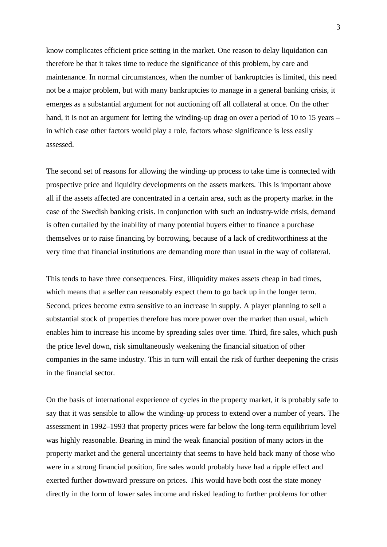know complicates efficient price setting in the market. One reason to delay liquidation can therefore be that it takes time to reduce the significance of this problem, by care and maintenance. In normal circumstances, when the number of bankruptcies is limited, this need not be a major problem, but with many bankruptcies to manage in a general banking crisis, it emerges as a substantial argument for not auctioning off all collateral at once. On the other hand, it is not an argument for letting the winding-up drag on over a period of 10 to 15 years – in which case other factors would play a role, factors whose significance is less easily assessed.

The second set of reasons for allowing the winding-up process to take time is connected with prospective price and liquidity developments on the assets markets. This is important above all if the assets affected are concentrated in a certain area, such as the property market in the case of the Swedish banking crisis. In conjunction with such an industry-wide crisis, demand is often curtailed by the inability of many potential buyers either to finance a purchase themselves or to raise financing by borrowing, because of a lack of creditworthiness at the very time that financial institutions are demanding more than usual in the way of collateral.

This tends to have three consequences. First, illiquidity makes assets cheap in bad times, which means that a seller can reasonably expect them to go back up in the longer term. Second, prices become extra sensitive to an increase in supply. A player planning to sell a substantial stock of properties therefore has more power over the market than usual, which enables him to increase his income by spreading sales over time. Third, fire sales, which push the price level down, risk simultaneously weakening the financial situation of other companies in the same industry. This in turn will entail the risk of further deepening the crisis in the financial sector.

On the basis of international experience of cycles in the property market, it is probably safe to say that it was sensible to allow the winding-up process to extend over a number of years. The assessment in 1992–1993 that property prices were far below the long-term equilibrium level was highly reasonable. Bearing in mind the weak financial position of many actors in the property market and the general uncertainty that seems to have held back many of those who were in a strong financial position, fire sales would probably have had a ripple effect and exerted further downward pressure on prices. This would have both cost the state money directly in the form of lower sales income and risked leading to further problems for other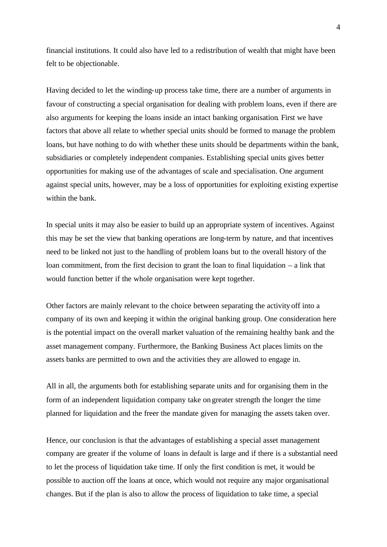financial institutions. It could also have led to a redistribution of wealth that might have been felt to be objectionable.

Having decided to let the winding-up process take time, there are a number of arguments in favour of constructing a special organisation for dealing with problem loans, even if there are also arguments for keeping the loans inside an intact banking organisation. First we have factors that above all relate to whether special units should be formed to manage the problem loans, but have nothing to do with whether these units should be departments within the bank, subsidiaries or completely independent companies. Establishing special units gives better opportunities for making use of the advantages of scale and specialisation. One argument against special units, however, may be a loss of opportunities for exploiting existing expertise within the bank.

In special units it may also be easier to build up an appropriate system of incentives. Against this may be set the view that banking operations are long-term by nature, and that incentives need to be linked not just to the handling of problem loans but to the overall history of the loan commitment, from the first decision to grant the loan to final liquidation – a link that would function better if the whole organisation were kept together.

Other factors are mainly relevant to the choice between separating the activity off into a company of its own and keeping it within the original banking group. One consideration here is the potential impact on the overall market valuation of the remaining healthy bank and the asset management company. Furthermore, the Banking Business Act places limits on the assets banks are permitted to own and the activities they are allowed to engage in.

All in all, the arguments both for establishing separate units and for organising them in the form of an independent liquidation company take on greater strength the longer the time planned for liquidation and the freer the mandate given for managing the assets taken over.

Hence, our conclusion is that the advantages of establishing a special asset management company are greater if the volume of loans in default is large and if there is a substantial need to let the process of liquidation take time. If only the first condition is met, it would be possible to auction off the loans at once, which would not require any major organisational changes. But if the plan is also to allow the process of liquidation to take time, a special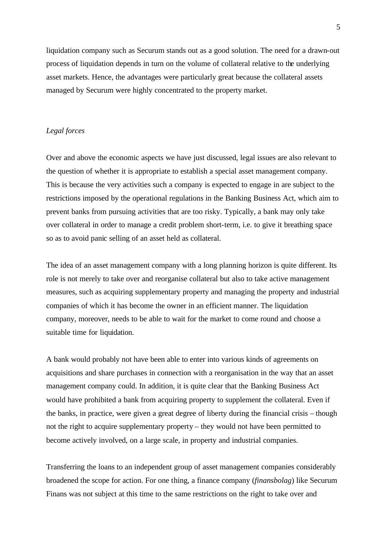liquidation company such as Securum stands out as a good solution. The need for a drawn-out process of liquidation depends in turn on the volume of collateral relative to the underlying asset markets. Hence, the advantages were particularly great because the collateral assets managed by Securum were highly concentrated to the property market.

## *Legal forces*

Over and above the economic aspects we have just discussed, legal issues are also relevant to the question of whether it is appropriate to establish a special asset management company. This is because the very activities such a company is expected to engage in are subject to the restrictions imposed by the operational regulations in the Banking Business Act, which aim to prevent banks from pursuing activities that are too risky. Typically, a bank may only take over collateral in order to manage a credit problem short-term, i.e. to give it breathing space so as to avoid panic selling of an asset held as collateral.

The idea of an asset management company with a long planning horizon is quite different. Its role is not merely to take over and reorganise collateral but also to take active management measures, such as acquiring supplementary property and managing the property and industrial companies of which it has become the owner in an efficient manner. The liquidation company, moreover, needs to be able to wait for the market to come round and choose a suitable time for liquidation.

A bank would probably not have been able to enter into various kinds of agreements on acquisitions and share purchases in connection with a reorganisation in the way that an asset management company could. In addition, it is quite clear that the Banking Business Act would have prohibited a bank from acquiring property to supplement the collateral. Even if the banks, in practice, were given a great degree of liberty during the financial crisis – though not the right to acquire supplementary property – they would not have been permitted to become actively involved, on a large scale, in property and industrial companies.

Transferring the loans to an independent group of asset management companies considerably broadened the scope for action. For one thing, a finance company (*finansbolag*) like Securum Finans was not subject at this time to the same restrictions on the right to take over and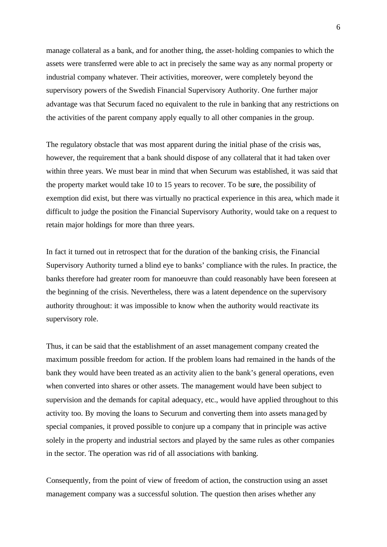manage collateral as a bank, and for another thing, the asset-holding companies to which the assets were transferred were able to act in precisely the same way as any normal property or industrial company whatever. Their activities, moreover, were completely beyond the supervisory powers of the Swedish Financial Supervisory Authority. One further major advantage was that Securum faced no equivalent to the rule in banking that any restrictions on the activities of the parent company apply equally to all other companies in the group.

The regulatory obstacle that was most apparent during the initial phase of the crisis was, however, the requirement that a bank should dispose of any collateral that it had taken over within three years. We must bear in mind that when Securum was established, it was said that the property market would take 10 to 15 years to recover. To be sure, the possibility of exemption did exist, but there was virtually no practical experience in this area, which made it difficult to judge the position the Financial Supervisory Authority, would take on a request to retain major holdings for more than three years.

In fact it turned out in retrospect that for the duration of the banking crisis, the Financial Supervisory Authority turned a blind eye to banks' compliance with the rules. In practice, the banks therefore had greater room for manoeuvre than could reasonably have been foreseen at the beginning of the crisis. Nevertheless, there was a latent dependence on the supervisory authority throughout: it was impossible to know when the authority would reactivate its supervisory role.

Thus, it can be said that the establishment of an asset management company created the maximum possible freedom for action. If the problem loans had remained in the hands of the bank they would have been treated as an activity alien to the bank's general operations, even when converted into shares or other assets. The management would have been subject to supervision and the demands for capital adequacy, etc., would have applied throughout to this activity too. By moving the loans to Securum and converting them into assets managed by special companies, it proved possible to conjure up a company that in principle was active solely in the property and industrial sectors and played by the same rules as other companies in the sector. The operation was rid of all associations with banking.

Consequently, from the point of view of freedom of action, the construction using an asset management company was a successful solution. The question then arises whether any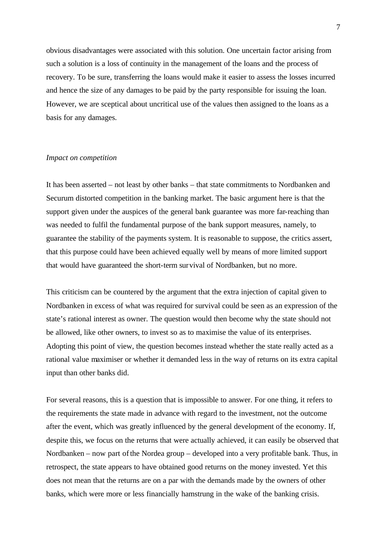obvious disadvantages were associated with this solution. One uncertain factor arising from such a solution is a loss of continuity in the management of the loans and the process of recovery. To be sure, transferring the loans would make it easier to assess the losses incurred and hence the size of any damages to be paid by the party responsible for issuing the loan. However, we are sceptical about uncritical use of the values then assigned to the loans as a basis for any damages.

#### *Impact on competition*

It has been asserted – not least by other banks – that state commitments to Nordbanken and Securum distorted competition in the banking market. The basic argument here is that the support given under the auspices of the general bank guarantee was more far-reaching than was needed to fulfil the fundamental purpose of the bank support measures, namely, to guarantee the stability of the payments system. It is reasonable to suppose, the critics assert, that this purpose could have been achieved equally well by means of more limited support that would have guaranteed the short-term survival of Nordbanken, but no more.

This criticism can be countered by the argument that the extra injection of capital given to Nordbanken in excess of what was required for survival could be seen as an expression of the state's rational interest as owner. The question would then become why the state should not be allowed, like other owners, to invest so as to maximise the value of its enterprises. Adopting this point of view, the question becomes instead whether the state really acted as a rational value maximiser or whether it demanded less in the way of returns on its extra capital input than other banks did.

For several reasons, this is a question that is impossible to answer. For one thing, it refers to the requirements the state made in advance with regard to the investment, not the outcome after the event, which was greatly influenced by the general development of the economy. If, despite this, we focus on the returns that were actually achieved, it can easily be observed that Nordbanken – now part of the Nordea group – developed into a very profitable bank. Thus, in retrospect, the state appears to have obtained good returns on the money invested. Yet this does not mean that the returns are on a par with the demands made by the owners of other banks, which were more or less financially hamstrung in the wake of the banking crisis.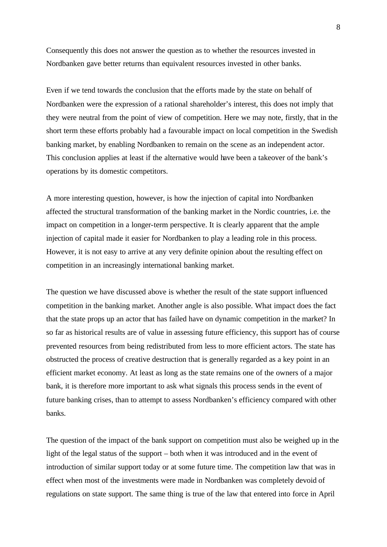Consequently this does not answer the question as to whether the resources invested in Nordbanken gave better returns than equivalent resources invested in other banks.

Even if we tend towards the conclusion that the efforts made by the state on behalf of Nordbanken were the expression of a rational shareholder's interest, this does not imply that they were neutral from the point of view of competition. Here we may note, firstly, that in the short term these efforts probably had a favourable impact on local competition in the Swedish banking market, by enabling Nordbanken to remain on the scene as an independent actor. This conclusion applies at least if the alternative would have been a takeover of the bank's operations by its domestic competitors.

A more interesting question, however, is how the injection of capital into Nordbanken affected the structural transformation of the banking market in the Nordic countries, i.e. the impact on competition in a longer-term perspective. It is clearly apparent that the ample injection of capital made it easier for Nordbanken to play a leading role in this process. However, it is not easy to arrive at any very definite opinion about the resulting effect on competition in an increasingly international banking market.

The question we have discussed above is whether the result of the state support influenced competition in the banking market. Another angle is also possible. What impact does the fact that the state props up an actor that has failed have on dynamic competition in the market? In so far as historical results are of value in assessing future efficiency, this support has of course prevented resources from being redistributed from less to more efficient actors. The state has obstructed the process of creative destruction that is generally regarded as a key point in an efficient market economy. At least as long as the state remains one of the owners of a major bank, it is therefore more important to ask what signals this process sends in the event of future banking crises, than to attempt to assess Nordbanken's efficiency compared with other banks.

The question of the impact of the bank support on competition must also be weighed up in the light of the legal status of the support – both when it was introduced and in the event of introduction of similar support today or at some future time. The competition law that was in effect when most of the investments were made in Nordbanken was completely devoid of regulations on state support. The same thing is true of the law that entered into force in April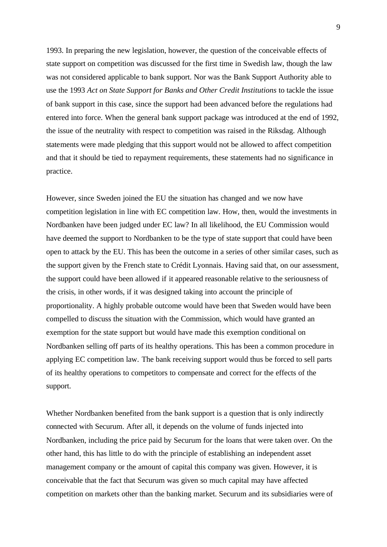1993. In preparing the new legislation, however, the question of the conceivable effects of state support on competition was discussed for the first time in Swedish law, though the law was not considered applicable to bank support. Nor was the Bank Support Authority able to use the 1993 *Act on State Support for Banks and Other Credit Institutions* to tackle the issue of bank support in this case, since the support had been advanced before the regulations had entered into force. When the general bank support package was introduced at the end of 1992, the issue of the neutrality with respect to competition was raised in the Riksdag. Although statements were made pledging that this support would not be allowed to affect competition and that it should be tied to repayment requirements, these statements had no significance in practice.

However, since Sweden joined the EU the situation has changed and we now have competition legislation in line with EC competition law. How, then, would the investments in Nordbanken have been judged under EC law? In all likelihood, the EU Commission would have deemed the support to Nordbanken to be the type of state support that could have been open to attack by the EU. This has been the outcome in a series of other similar cases, such as the support given by the French state to Crédit Lyonnais. Having said that, on our assessment, the support could have been allowed if it appeared reasonable relative to the seriousness of the crisis, in other words, if it was designed taking into account the principle of proportionality. A highly probable outcome would have been that Sweden would have been compelled to discuss the situation with the Commission, which would have granted an exemption for the state support but would have made this exemption conditional on Nordbanken selling off parts of its healthy operations. This has been a common procedure in applying EC competition law. The bank receiving support would thus be forced to sell parts of its healthy operations to competitors to compensate and correct for the effects of the support.

Whether Nordbanken benefited from the bank support is a question that is only indirectly connected with Securum. After all, it depends on the volume of funds injected into Nordbanken, including the price paid by Securum for the loans that were taken over. On the other hand, this has little to do with the principle of establishing an independent asset management company or the amount of capital this company was given. However, it is conceivable that the fact that Securum was given so much capital may have affected competition on markets other than the banking market. Securum and its subsidiaries were of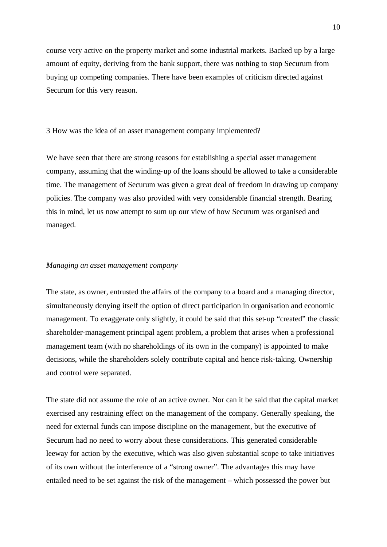course very active on the property market and some industrial markets. Backed up by a large amount of equity, deriving from the bank support, there was nothing to stop Securum from buying up competing companies. There have been examples of criticism directed against Securum for this very reason.

3 How was the idea of an asset management company implemented?

We have seen that there are strong reasons for establishing a special asset management company, assuming that the winding-up of the loans should be allowed to take a considerable time. The management of Securum was given a great deal of freedom in drawing up company policies. The company was also provided with very considerable financial strength. Bearing this in mind, let us now attempt to sum up our view of how Securum was organised and managed.

#### *Managing an asset management company*

The state, as owner, entrusted the affairs of the company to a board and a managing director, simultaneously denying itself the option of direct participation in organisation and economic management. To exaggerate only slightly, it could be said that this set-up "created" the classic shareholder-management principal agent problem, a problem that arises when a professional management team (with no shareholdings of its own in the company) is appointed to make decisions, while the shareholders solely contribute capital and hence risk-taking. Ownership and control were separated.

The state did not assume the role of an active owner. Nor can it be said that the capital market exercised any restraining effect on the management of the company. Generally speaking, the need for external funds can impose discipline on the management, but the executive of Securum had no need to worry about these considerations. This generated considerable leeway for action by the executive, which was also given substantial scope to take initiatives of its own without the interference of a "strong owner". The advantages this may have entailed need to be set against the risk of the management – which possessed the power but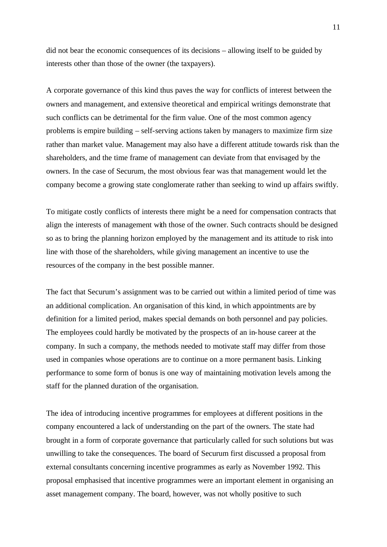did not bear the economic consequences of its decisions – allowing itself to be guided by interests other than those of the owner (the taxpayers).

A corporate governance of this kind thus paves the way for conflicts of interest between the owners and management, and extensive theoretical and empirical writings demonstrate that such conflicts can be detrimental for the firm value. One of the most common agency problems is empire building – self-serving actions taken by managers to maximize firm size rather than market value. Management may also have a different attitude towards risk than the shareholders, and the time frame of management can deviate from that envisaged by the owners. In the case of Securum, the most obvious fear was that management would let the company become a growing state conglomerate rather than seeking to wind up affairs swiftly.

To mitigate costly conflicts of interests there might be a need for compensation contracts that align the interests of management with those of the owner. Such contracts should be designed so as to bring the planning horizon employed by the management and its attitude to risk into line with those of the shareholders, while giving management an incentive to use the resources of the company in the best possible manner.

The fact that Securum's assignment was to be carried out within a limited period of time was an additional complication. An organisation of this kind, in which appointments are by definition for a limited period, makes special demands on both personnel and pay policies. The employees could hardly be motivated by the prospects of an in-house career at the company. In such a company, the methods needed to motivate staff may differ from those used in companies whose operations are to continue on a more permanent basis. Linking performance to some form of bonus is one way of maintaining motivation levels among the staff for the planned duration of the organisation.

The idea of introducing incentive programmes for employees at different positions in the company encountered a lack of understanding on the part of the owners. The state had brought in a form of corporate governance that particularly called for such solutions but was unwilling to take the consequences. The board of Securum first discussed a proposal from external consultants concerning incentive programmes as early as November 1992. This proposal emphasised that incentive programmes were an important element in organising an asset management company. The board, however, was not wholly positive to such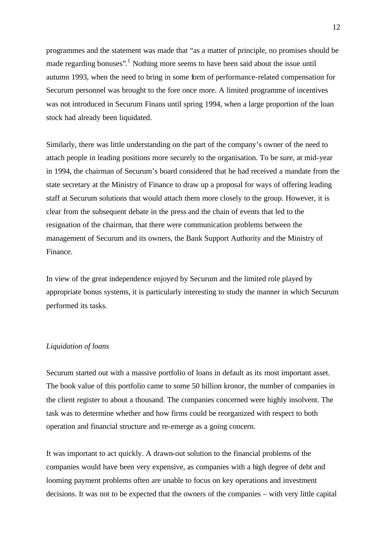programmes and the statement was made that "as a matter of principle, no promises should be made regarding bonuses".<sup>1</sup> Nothing more seems to have been said about the issue until autumn 1993, when the need to bring in some form of performance-related compensation for Securum personnel was brought to the fore once more. A limited programme of incentives was not introduced in Securum Finans until spring 1994, when a large proportion of the loan stock had already been liquidated.

Similarly, there was little understanding on the part of the company's owner of the need to attach people in leading positions more securely to the organisation. To be sure, at mid-year in 1994, the chairman of Securum's board considered that he had received a mandate from the state secretary at the Ministry of Finance to draw up a proposal for ways of offering leading staff at Securum solutions that would attach them more closely to the group. However, it is clear from the subsequent debate in the press and the chain of events that led to the resignation of the chairman, that there were communication problems between the management of Securum and its owners, the Bank Support Authority and the Ministry of Finance.

In view of the great independence enjoyed by Securum and the limited role played by appropriate bonus systems, it is particularly interesting to study the manner in which Securum performed its tasks.

### *Liquidation of loans*

Securum started out with a massive portfolio of loans in default as its most important asset. The book value of this portfolio came to some 50 billion kronor, the number of companies in the client register to about a thousand. The companies concerned were highly insolvent. The task was to determine whether and how firms could be reorganized with respect to both operation and financial structure and re-emerge as a going concern.

It was important to act quickly. A drawn-out solution to the financial problems of the companies would have been very expensive, as companies with a high degree of debt and looming payment problems often are unable to focus on key operations and investment decisions. It was not to be expected that the owners of the companies – with very little capital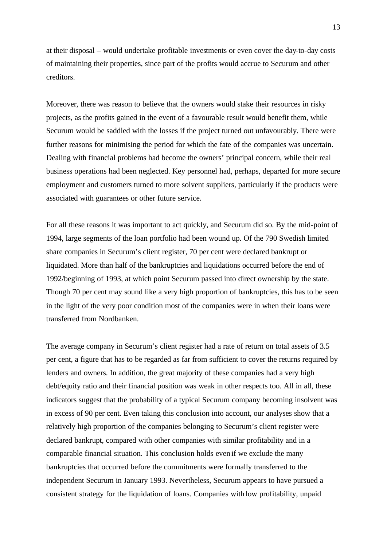at their disposal – would undertake profitable investments or even cover the day-to-day costs of maintaining their properties, since part of the profits would accrue to Securum and other creditors.

Moreover, there was reason to believe that the owners would stake their resources in risky projects, as the profits gained in the event of a favourable result would benefit them, while Securum would be saddled with the losses if the project turned out unfavourably. There were further reasons for minimising the period for which the fate of the companies was uncertain. Dealing with financial problems had become the owners' principal concern, while their real business operations had been neglected. Key personnel had, perhaps, departed for more secure employment and customers turned to more solvent suppliers, particularly if the products were associated with guarantees or other future service.

For all these reasons it was important to act quickly, and Securum did so. By the mid-point of 1994, large segments of the loan portfolio had been wound up. Of the 790 Swedish limited share companies in Securum's client register, 70 per cent were declared bankrupt or liquidated. More than half of the bankruptcies and liquidations occurred before the end of 1992/beginning of 1993, at which point Securum passed into direct ownership by the state. Though 70 per cent may sound like a very high proportion of bankruptcies, this has to be seen in the light of the very poor condition most of the companies were in when their loans were transferred from Nordbanken.

The average company in Securum's client register had a rate of return on total assets of 3.5 per cent, a figure that has to be regarded as far from sufficient to cover the returns required by lenders and owners. In addition, the great majority of these companies had a very high debt/equity ratio and their financial position was weak in other respects too. All in all, these indicators suggest that the probability of a typical Securum company becoming insolvent was in excess of 90 per cent. Even taking this conclusion into account, our analyses show that a relatively high proportion of the companies belonging to Securum's client register were declared bankrupt, compared with other companies with similar profitability and in a comparable financial situation. This conclusion holds even if we exclude the many bankruptcies that occurred before the commitments were formally transferred to the independent Securum in January 1993. Nevertheless, Securum appears to have pursued a consistent strategy for the liquidation of loans. Companies with low profitability, unpaid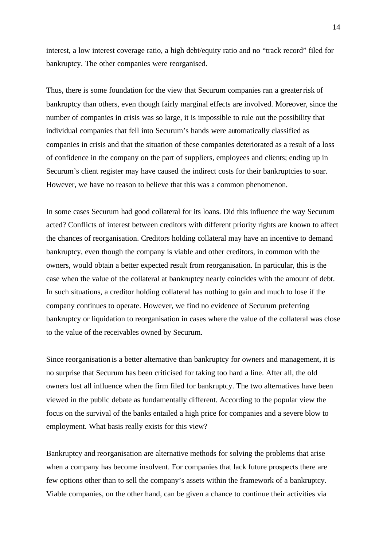interest, a low interest coverage ratio, a high debt/equity ratio and no "track record" filed for bankruptcy. The other companies were reorganised.

Thus, there is some foundation for the view that Securum companies ran a greater risk of bankruptcy than others, even though fairly marginal effects are involved. Moreover, since the number of companies in crisis was so large, it is impossible to rule out the possibility that individual companies that fell into Securum's hands were automatically classified as companies in crisis and that the situation of these companies deteriorated as a result of a loss of confidence in the company on the part of suppliers, employees and clients; ending up in Securum's client register may have caused the indirect costs for their bankruptcies to soar. However, we have no reason to believe that this was a common phenomenon.

In some cases Securum had good collateral for its loans. Did this influence the way Securum acted? Conflicts of interest between creditors with different priority rights are known to affect the chances of reorganisation. Creditors holding collateral may have an incentive to demand bankruptcy, even though the company is viable and other creditors, in common with the owners, would obtain a better expected result from reorganisation. In particular, this is the case when the value of the collateral at bankruptcy nearly coincides with the amount of debt. In such situations, a creditor holding collateral has nothing to gain and much to lose if the company continues to operate. However, we find no evidence of Securum preferring bankruptcy or liquidation to reorganisation in cases where the value of the collateral was close to the value of the receivables owned by Securum.

Since reorganisation is a better alternative than bankruptcy for owners and management, it is no surprise that Securum has been criticised for taking too hard a line. After all, the old owners lost all influence when the firm filed for bankruptcy. The two alternatives have been viewed in the public debate as fundamentally different. According to the popular view the focus on the survival of the banks entailed a high price for companies and a severe blow to employment. What basis really exists for this view?

Bankruptcy and reorganisation are alternative methods for solving the problems that arise when a company has become insolvent. For companies that lack future prospects there are few options other than to sell the company's assets within the framework of a bankruptcy. Viable companies, on the other hand, can be given a chance to continue their activities via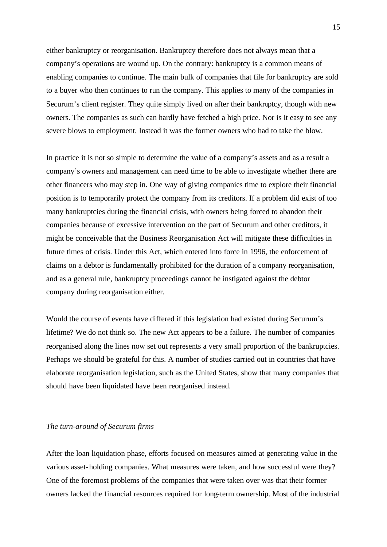either bankruptcy or reorganisation. Bankruptcy therefore does not always mean that a company's operations are wound up. On the contrary: bankruptcy is a common means of enabling companies to continue. The main bulk of companies that file for bankruptcy are sold to a buyer who then continues to run the company. This applies to many of the companies in Securum's client register. They quite simply lived on after their bankruptcy, though with new owners. The companies as such can hardly have fetched a high price. Nor is it easy to see any severe blows to employment. Instead it was the former owners who had to take the blow.

In practice it is not so simple to determine the value of a company's assets and as a result a company's owners and management can need time to be able to investigate whether there are other financers who may step in. One way of giving companies time to explore their financial position is to temporarily protect the company from its creditors. If a problem did exist of too many bankruptcies during the financial crisis, with owners being forced to abandon their companies because of excessive intervention on the part of Securum and other creditors, it might be conceivable that the Business Reorganisation Act will mitigate these difficulties in future times of crisis. Under this Act, which entered into force in 1996, the enforcement of claims on a debtor is fundamentally prohibited for the duration of a company reorganisation, and as a general rule, bankruptcy proceedings cannot be instigated against the debtor company during reorganisation either.

Would the course of events have differed if this legislation had existed during Securum's lifetime? We do not think so. The new Act appears to be a failure. The number of companies reorganised along the lines now set out represents a very small proportion of the bankruptcies. Perhaps we should be grateful for this. A number of studies carried out in countries that have elaborate reorganisation legislation, such as the United States, show that many companies that should have been liquidated have been reorganised instead.

### *The turn-around of Securum firms*

After the loan liquidation phase, efforts focused on measures aimed at generating value in the various asset-holding companies. What measures were taken, and how successful were they? One of the foremost problems of the companies that were taken over was that their former owners lacked the financial resources required for long-term ownership. Most of the industrial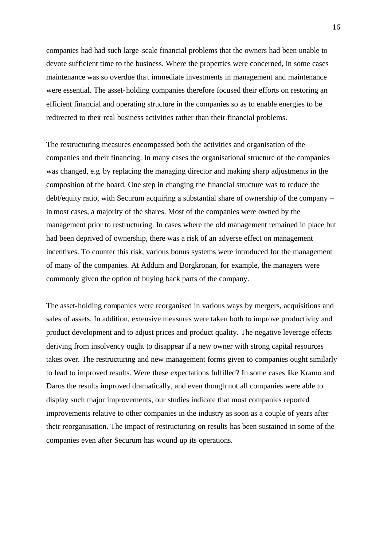companies had had such large-scale financial problems that the owners had been unable to devote sufficient time to the business. Where the properties were concerned, in some cases maintenance was so overdue that immediate investments in management and maintenance were essential. The asset-holding companies therefore focused their efforts on restoring an efficient financial and operating structure in the companies so as to enable energies to be redirected to their real business activities rather than their financial problems.

The restructuring measures encompassed both the activities and organisation of the companies and their financing. In many cases the organisational structure of the companies was changed, e.g. by replacing the managing director and making sharp adjustments in the composition of the board. One step in changing the financial structure was to reduce the debt/equity ratio, with Securum acquiring a substantial share of ownership of the company – in most cases, a majority of the shares. Most of the companies were owned by the management prior to restructuring. In cases where the old management remained in place but had been deprived of ownership, there was a risk of an adverse effect on management incentives. To counter this risk, various bonus systems were introduced for the management of many of the companies. At Addum and Borgkronan, for example, the managers were commonly given the option of buying back parts of the company.

The asset-holding companies were reorganised in various ways by mergers, acquisitions and sales of assets. In addition, extensive measures were taken both to improve productivity and product development and to adjust prices and product quality. The negative leverage effects deriving from insolvency ought to disappear if a new owner with strong capital resources takes over. The restructuring and new management forms given to companies ought similarly to lead to improved results. Were these expectations fulfilled? In some cases like Kramo and Daros the results improved dramatically, and even though not all companies were able to display such major improvements, our studies indicate that most companies reported improvements relative to other companies in the industry as soon as a couple of years after their reorganisation. The impact of restructuring on results has been sustained in some of the companies even after Securum has wound up its operations.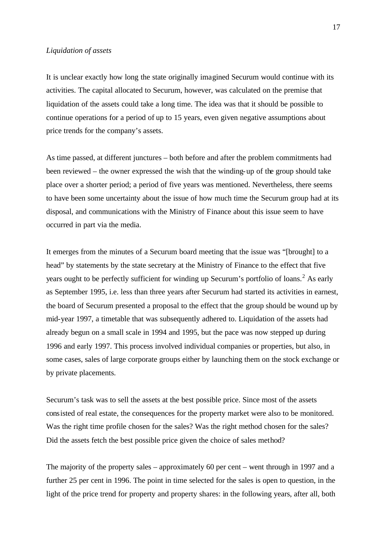## *Liquidation of assets*

It is unclear exactly how long the state originally imagined Securum would continue with its activities. The capital allocated to Securum, however, was calculated on the premise that liquidation of the assets could take a long time. The idea was that it should be possible to continue operations for a period of up to 15 years, even given negative assumptions about price trends for the company's assets.

As time passed, at different junctures – both before and after the problem commitments had been reviewed – the owner expressed the wish that the winding-up of the group should take place over a shorter period; a period of five years was mentioned. Nevertheless, there seems to have been some uncertainty about the issue of how much time the Securum group had at its disposal, and communications with the Ministry of Finance about this issue seem to have occurred in part via the media.

It emerges from the minutes of a Securum board meeting that the issue was "[brought] to a head" by statements by the state secretary at the Ministry of Finance to the effect that five years ought to be perfectly sufficient for winding up Securum's portfolio of loans.<sup>2</sup> As early as September 1995, i.e. less than three years after Securum had started its activities in earnest, the board of Securum presented a proposal to the effect that the group should be wound up by mid-year 1997, a timetable that was subsequently adhered to. Liquidation of the assets had already begun on a small scale in 1994 and 1995, but the pace was now stepped up during 1996 and early 1997. This process involved individual companies or properties, but also, in some cases, sales of large corporate groups either by launching them on the stock exchange or by private placements.

Securum's task was to sell the assets at the best possible price. Since most of the assets consisted of real estate, the consequences for the property market were also to be monitored. Was the right time profile chosen for the sales? Was the right method chosen for the sales? Did the assets fetch the best possible price given the choice of sales method?

The majority of the property sales – approximately 60 per cent – went through in 1997 and a further 25 per cent in 1996. The point in time selected for the sales is open to question, in the light of the price trend for property and property shares: in the following years, after all, both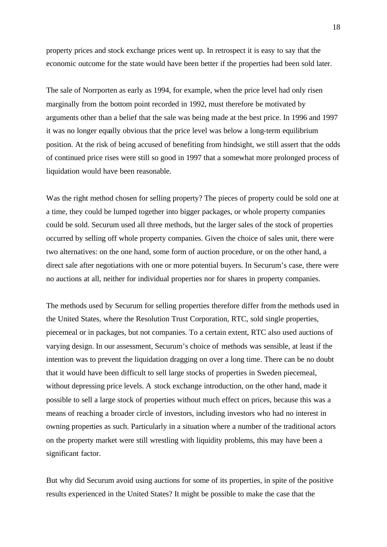property prices and stock exchange prices went up. In retrospect it is easy to say that the economic outcome for the state would have been better if the properties had been sold later.

The sale of Norrporten as early as 1994, for example, when the price level had only risen marginally from the bottom point recorded in 1992, must therefore be motivated by arguments other than a belief that the sale was being made at the best price. In 1996 and 1997 it was no longer equally obvious that the price level was below a long-term equilibrium position. At the risk of being accused of benefiting from hindsight, we still assert that the odds of continued price rises were still so good in 1997 that a somewhat more prolonged process of liquidation would have been reasonable.

Was the right method chosen for selling property? The pieces of property could be sold one at a time, they could be lumped together into bigger packages, or whole property companies could be sold. Securum used all three methods, but the larger sales of the stock of properties occurred by selling off whole property companies. Given the choice of sales unit, there were two alternatives: on the one hand, some form of auction procedure, or on the other hand, a direct sale after negotiations with one or more potential buyers. In Securum's case, there were no auctions at all, neither for individual properties nor for shares in property companies.

The methods used by Securum for selling properties therefore differ from the methods used in the United States, where the Resolution Trust Corporation, RTC, sold single properties, piecemeal or in packages, but not companies. To a certain extent, RTC also used auctions of varying design. In our assessment, Securum's choice of methods was sensible, at least if the intention was to prevent the liquidation dragging on over a long time. There can be no doubt that it would have been difficult to sell large stocks of properties in Sweden piecemeal, without depressing price levels. A stock exchange introduction, on the other hand, made it possible to sell a large stock of properties without much effect on prices, because this was a means of reaching a broader circle of investors, including investors who had no interest in owning properties as such. Particularly in a situation where a number of the traditional actors on the property market were still wrestling with liquidity problems, this may have been a significant factor.

But why did Securum avoid using auctions for some of its properties, in spite of the positive results experienced in the United States? It might be possible to make the case that the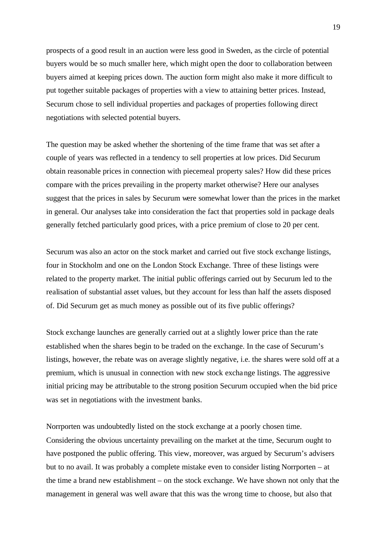prospects of a good result in an auction were less good in Sweden, as the circle of potential buyers would be so much smaller here, which might open the door to collaboration between buyers aimed at keeping prices down. The auction form might also make it more difficult to put together suitable packages of properties with a view to attaining better prices. Instead, Securum chose to sell individual properties and packages of properties following direct negotiations with selected potential buyers.

The question may be asked whether the shortening of the time frame that was set after a couple of years was reflected in a tendency to sell properties at low prices. Did Securum obtain reasonable prices in connection with piecemeal property sales? How did these prices compare with the prices prevailing in the property market otherwise? Here our analyses suggest that the prices in sales by Securum were somewhat lower than the prices in the market in general. Our analyses take into consideration the fact that properties sold in package deals generally fetched particularly good prices, with a price premium of close to 20 per cent.

Securum was also an actor on the stock market and carried out five stock exchange listings, four in Stockholm and one on the London Stock Exchange. Three of these listings were related to the property market. The initial public offerings carried out by Securum led to the realisation of substantial asset values, but they account for less than half the assets disposed of. Did Securum get as much money as possible out of its five public offerings?

Stock exchange launches are generally carried out at a slightly lower price than the rate established when the shares begin to be traded on the exchange. In the case of Securum's listings, however, the rebate was on average slightly negative, i.e. the shares were sold off at a premium, which is unusual in connection with new stock exchange listings. The aggressive initial pricing may be attributable to the strong position Securum occupied when the bid price was set in negotiations with the investment banks.

Norrporten was undoubtedly listed on the stock exchange at a poorly chosen time. Considering the obvious uncertainty prevailing on the market at the time, Securum ought to have postponed the public offering. This view, moreover, was argued by Securum's advisers but to no avail. It was probably a complete mistake even to consider listing Norrporten – at the time a brand new establishment – on the stock exchange. We have shown not only that the management in general was well aware that this was the wrong time to choose, but also that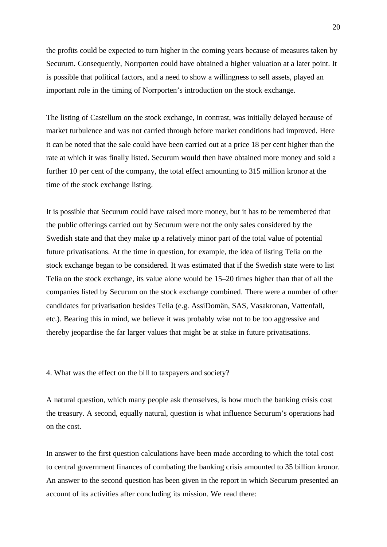the profits could be expected to turn higher in the coming years because of measures taken by Securum. Consequently, Norrporten could have obtained a higher valuation at a later point. It is possible that political factors, and a need to show a willingness to sell assets, played an important role in the timing of Norrporten's introduction on the stock exchange.

The listing of Castellum on the stock exchange, in contrast, was initially delayed because of market turbulence and was not carried through before market conditions had improved. Here it can be noted that the sale could have been carried out at a price 18 per cent higher than the rate at which it was finally listed. Securum would then have obtained more money and sold a further 10 per cent of the company, the total effect amounting to 315 million kronor at the time of the stock exchange listing.

It is possible that Securum could have raised more money, but it has to be remembered that the public offerings carried out by Securum were not the only sales considered by the Swedish state and that they make up a relatively minor part of the total value of potential future privatisations. At the time in question, for example, the idea of listing Telia on the stock exchange began to be considered. It was estimated that if the Swedish state were to list Telia on the stock exchange, its value alone would be 15–20 times higher than that of all the companies listed by Securum on the stock exchange combined. There were a number of other candidates for privatisation besides Telia (e.g. AssiDomän, SAS, Vasakronan, Vattenfall, etc.). Bearing this in mind, we believe it was probably wise not to be too aggressive and thereby jeopardise the far larger values that might be at stake in future privatisations.

4. What was the effect on the bill to taxpayers and society?

A natural question, which many people ask themselves, is how much the banking crisis cost the treasury. A second, equally natural, question is what influence Securum's operations had on the cost.

In answer to the first question calculations have been made according to which the total cost to central government finances of combating the banking crisis amounted to 35 billion kronor. An answer to the second question has been given in the report in which Securum presented an account of its activities after concluding its mission. We read there: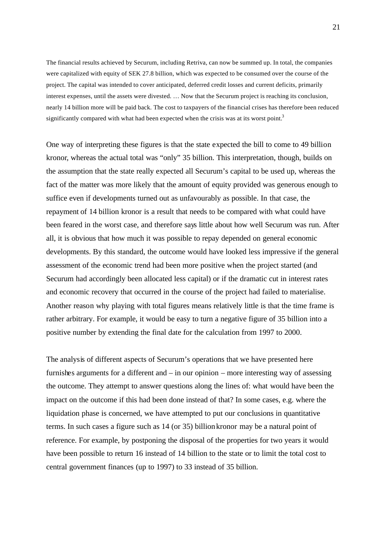The financial results achieved by Securum, including Retriva, can now be summed up. In total, the companies were capitalized with equity of SEK 27.8 billion, which was expected to be consumed over the course of the project. The capital was intended to cover anticipated, deferred credit losses and current deficits, primarily interest expenses, until the assets were divested. … Now that the Securum project is reaching its conclusion, nearly 14 billion more will be paid back. The cost to taxpayers of the financial crises has therefore been reduced significantly compared with what had been expected when the crisis was at its worst point.<sup>3</sup>

One way of interpreting these figures is that the state expected the bill to come to 49 billion kronor, whereas the actual total was "only" 35 billion. This interpretation, though, builds on the assumption that the state really expected all Securum's capital to be used up, whereas the fact of the matter was more likely that the amount of equity provided was generous enough to suffice even if developments turned out as unfavourably as possible. In that case, the repayment of 14 billion kronor is a result that needs to be compared with what could have been feared in the worst case, and therefore says little about how well Securum was run. After all, it is obvious that how much it was possible to repay depended on general economic developments. By this standard, the outcome would have looked less impressive if the general assessment of the economic trend had been more positive when the project started (and Securum had accordingly been allocated less capital) or if the dramatic cut in interest rates and economic recovery that occurred in the course of the project had failed to materialise. Another reason why playing with total figures means relatively little is that the time frame is rather arbitrary. For example, it would be easy to turn a negative figure of 35 billion into a positive number by extending the final date for the calculation from 1997 to 2000.

The analysis of different aspects of Securum's operations that we have presented here furnishes arguments for a different and – in our opinion – more interesting way of assessing the outcome. They attempt to answer questions along the lines of: what would have been the impact on the outcome if this had been done instead of that? In some cases, e.g. where the liquidation phase is concerned, we have attempted to put our conclusions in quantitative terms. In such cases a figure such as 14 (or 35) billionkronor may be a natural point of reference. For example, by postponing the disposal of the properties for two years it would have been possible to return 16 instead of 14 billion to the state or to limit the total cost to central government finances (up to 1997) to 33 instead of 35 billion.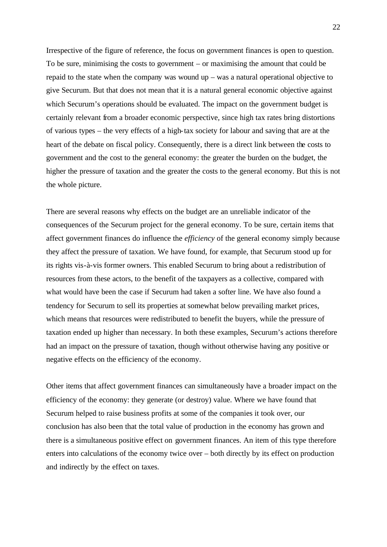Irrespective of the figure of reference, the focus on government finances is open to question. To be sure, minimising the costs to government – or maximising the amount that could be repaid to the state when the company was wound up – was a natural operational objective to give Securum. But that does not mean that it is a natural general economic objective against which Securum's operations should be evaluated. The impact on the government budget is certainly relevant from a broader economic perspective, since high tax rates bring distortions of various types – the very effects of a high-tax society for labour and saving that are at the heart of the debate on fiscal policy. Consequently, there is a direct link between the costs to government and the cost to the general economy: the greater the burden on the budget, the higher the pressure of taxation and the greater the costs to the general economy. But this is not the whole picture.

There are several reasons why effects on the budget are an unreliable indicator of the consequences of the Securum project for the general economy. To be sure, certain items that affect government finances do influence the *efficiency* of the general economy simply because they affect the pressure of taxation. We have found, for example, that Securum stood up for its rights vis-à-vis former owners. This enabled Securum to bring about a redistribution of resources from these actors, to the benefit of the taxpayers as a collective, compared with what would have been the case if Securum had taken a softer line. We have also found a tendency for Securum to sell its properties at somewhat below prevailing market prices, which means that resources were redistributed to benefit the buyers, while the pressure of taxation ended up higher than necessary. In both these examples, Securum's actions therefore had an impact on the pressure of taxation, though without otherwise having any positive or negative effects on the efficiency of the economy.

Other items that affect government finances can simultaneously have a broader impact on the efficiency of the economy: they generate (or destroy) value. Where we have found that Securum helped to raise business profits at some of the companies it took over, our conclusion has also been that the total value of production in the economy has grown and there is a simultaneous positive effect on government finances. An item of this type therefore enters into calculations of the economy twice over – both directly by its effect on production and indirectly by the effect on taxes.